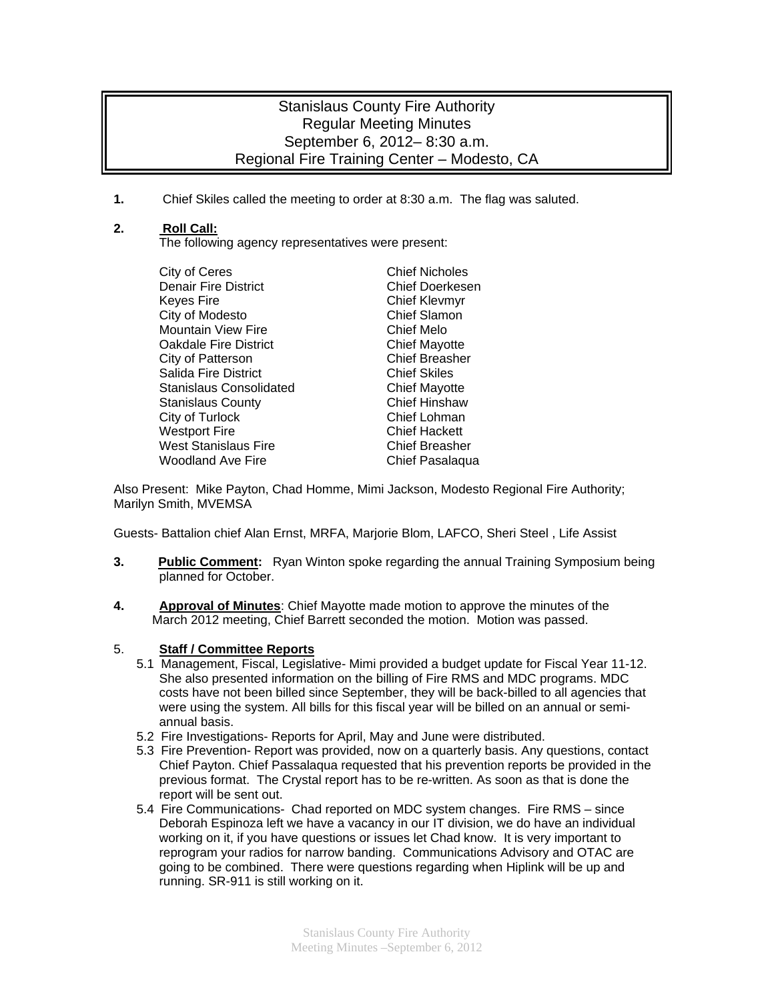## Stanislaus County Fire Authority Regular Meeting Minutes September 6, 2012– 8:30 a.m. Regional Fire Training Center – Modesto, CA

**1.** Chief Skiles called the meeting to order at 8:30 a.m. The flag was saluted.

## **2. Roll Call:**

The following agency representatives were present:

| City of Ceres                  | <b>Chief Nicholes</b> |
|--------------------------------|-----------------------|
| <b>Denair Fire District</b>    | Chief Doerkesen       |
| <b>Keyes Fire</b>              | <b>Chief Klevmyr</b>  |
| City of Modesto                | <b>Chief Slamon</b>   |
| <b>Mountain View Fire</b>      | Chief Melo            |
| <b>Oakdale Fire District</b>   | <b>Chief Mayotte</b>  |
| City of Patterson              | <b>Chief Breasher</b> |
| <b>Salida Fire District</b>    | <b>Chief Skiles</b>   |
| <b>Stanislaus Consolidated</b> | <b>Chief Mayotte</b>  |
| <b>Stanislaus County</b>       | <b>Chief Hinshaw</b>  |
| City of Turlock                | Chief Lohman          |
| <b>Westport Fire</b>           | <b>Chief Hackett</b>  |
| <b>West Stanislaus Fire</b>    | <b>Chief Breasher</b> |
| <b>Woodland Ave Fire</b>       | Chief Pasalaqua       |

Also Present: Mike Payton, Chad Homme, Mimi Jackson, Modesto Regional Fire Authority; Marilyn Smith, MVEMSA

Guests- Battalion chief Alan Ernst, MRFA, Marjorie Blom, LAFCO, Sheri Steel , Life Assist

- **3. Public Comment:** Ryan Winton spoke regarding the annual Training Symposium being planned for October.
- **4. Approval of Minutes**: Chief Mayotte made motion to approve the minutes of the March 2012 meeting, Chief Barrett seconded the motion. Motion was passed.

## 5. **Staff / Committee Reports**

- 5.1 Management, Fiscal, Legislative- Mimi provided a budget update for Fiscal Year 11-12. She also presented information on the billing of Fire RMS and MDC programs. MDC costs have not been billed since September, they will be back-billed to all agencies that were using the system. All bills for this fiscal year will be billed on an annual or semiannual basis.
- 5.2 Fire Investigations- Reports for April, May and June were distributed.
- 5.3 Fire Prevention- Report was provided, now on a quarterly basis. Any questions, contact Chief Payton. Chief Passalaqua requested that his prevention reports be provided in the previous format. The Crystal report has to be re-written. As soon as that is done the report will be sent out.
- 5.4 Fire Communications- Chad reported on MDC system changes. Fire RMS since Deborah Espinoza left we have a vacancy in our IT division, we do have an individual working on it, if you have questions or issues let Chad know. It is very important to reprogram your radios for narrow banding. Communications Advisory and OTAC are going to be combined. There were questions regarding when Hiplink will be up and running. SR-911 is still working on it.